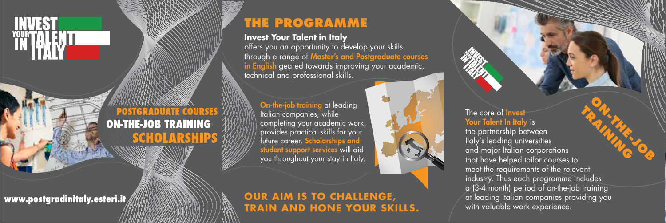

# **POSTGRADUATE COURSES ON-THE-JOB TRAINING**

# **THE PROGRAMME**

**Invest Your Talent in Italy** 

offers you an opportunity to develop your skills through a range of Master's and Postgraduate courses in English geared towards improving your academic, technical and professional skills.

On-the-job training at leading Italian companies, while completing your academic work, provides practical skills for your future career. Scholarships and student support services will aid you throughout your stay in Italy.



#### **www.postgradinitaly.esteri.it OUR AIM IS TO CHALLENGE, TRAIN AND HONE YOUR SKILLS.**



the partnership between Italy's leading universities and major Italian corporations that have helped tailor courses to meet the requirements of the relevant industry. Thus each programme includes a (3-4 month) period of on-the-job training at leading Italian companies providing you with valuable work experience.